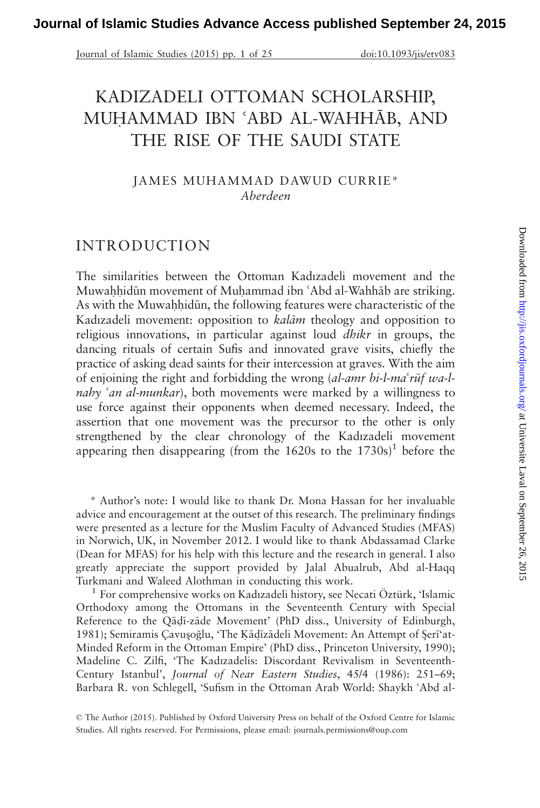Journal of Islamic Studies (2015) pp. 1 of 25 doi:10.1093/jis/etv083

# KADIZADELI OTTOMAN SCHOLARSHIP, MUHAMMAD IBN 'ABD AL-WAHHĀB, AND THE RISE OF THE SAUDI STATE

JAMES MUHAMMAD DAWUD CURRIE\* Aberdeen

# INTRODUCTION

The similarities between the Ottoman Kadızadeli movement and the Muwahhidūn movement of Muhammad ibn 'Abd al-Wahhāb are striking. As with the Muwahhidūn, the following features were characteristic of the Kadızadeli movement: opposition to kalām theology and opposition to religious innovations, in particular against loud dhikr in groups, the dancing rituals of certain Sufis and innovated grave visits, chiefly the practice of asking dead saints for their intercession at graves. With the aim of enjoining the right and forbidding the wrong  $(al-amr bi-l-ma'r\bar{u}fucl$ nahy 'an al-munkar), both movements were marked by a willingness to use force against their opponents when deemed necessary. Indeed, the assertion that one movement was the precursor to the other is only strengthened by the clear chronology of the Kadızadeli movement appearing then disappearing (from the  $1620s$  to the  $1730s$ )<sup>1</sup> before the

\* Author's note: I would like to thank Dr. Mona Hassan for her invaluable advice and encouragement at the outset of this research. The preliminary findings were presented as a lecture for the Muslim Faculty of Advanced Studies (MFAS) in Norwich, UK, in November 2012. I would like to thank Abdassamad Clarke (Dean for MFAS) for his help with this lecture and the research in general. I also greatly appreciate the support provided by Jalal Abualrub, Abd al-Haqq Turkmani and Waleed Alothman in conducting this work.<br><sup>1</sup> For comprehensive works on Kadızadeli history, see Necati Öztürk, 'Islamic

Orthodoxy among the Ottomans in the Seventeenth Century with Special Reference to the Qādī-zāde Movement' (PhD diss., University of Edinburgh, 1981); Semiramis Çavuşoğlu, 'The Kādīzādeli Movement: An Attempt of Şerī'at-<br>Minded Reform in the Ottoman Empire' (PhD diss., Princeton University, 1990) Minded Reform in the Ottoman Empire' (PhD diss., Princeton University, 1990); Madeline C. Zilfi, 'The Kadızadelis: Discordant Revivalism in Seventeenth-Century Istanbul', Journal of Near Eastern Studies, 45/4 (1986): 251–69; Barbara R. von Schlegell, 'Sufism in the Ottoman Arab World: Shaykh 'Abd al-

© The Author (2015). Published by Oxford University Press on behalf of the Oxford Centre for Islamic Studies. All rights reserved. For Permissions, please email: journals.permissions@oup.com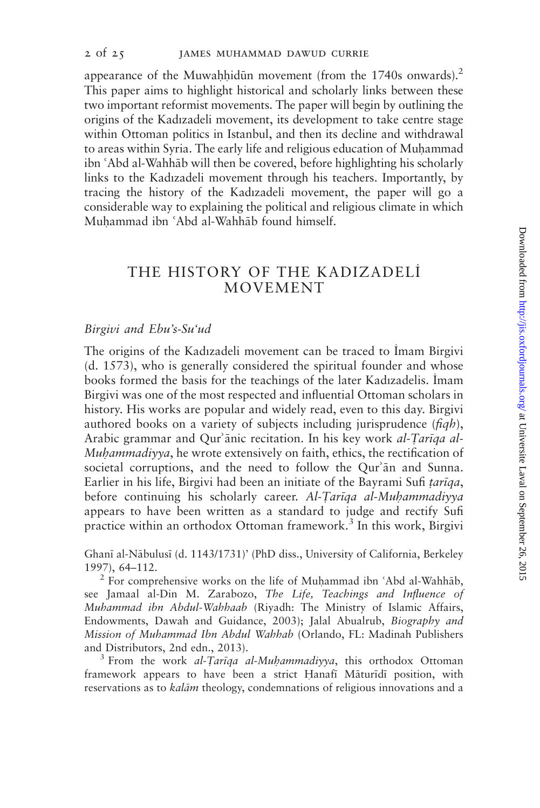appearance of the Muwahhidūn movement (from the 1740s onwards).<sup>2</sup> This paper aims to highlight historical and scholarly links between these two important reformist movements. The paper will begin by outlining the origins of the Kadızadeli movement, its development to take centre stage within Ottoman politics in Istanbul, and then its decline and withdrawal to areas within Syria. The early life and religious education of Muhammad ibn 'Abd al-Wahhāb will then be covered, before highlighting his scholarly links to the Kadızadeli movement through his teachers. Importantly, by tracing the history of the Kadızadeli movement, the paper will go a considerable way to explaining the political and religious climate in which Muhammad ibn 'Abd al-Wahhāb found himself.

## THE HISTORY OF THE KADIZADELI MOVEMENT

#### Birgivi and Ebu's-Su'ud

The origins of the Kadızadeli movement can be traced to Imam Birgivi (d. 1573), who is generally considered the spiritual founder and whose books formed the basis for the teachings of the later Kadızadelis. Imam Birgivi was one of the most respected and influential Ottoman scholars in history. His works are popular and widely read, even to this day. Birgivi authored books on a variety of subjects including jurisprudence  $(f_i q h)$ , Arabic grammar and Qur'ānic recitation. In his key work al-Tarīqa al-Muhammadiyya, he wrote extensively on faith, ethics, the rectification of societal corruptions, and the need to follow the Qur'an and Sunna. Earlier in his life, Birgivi had been an initiate of the Bayrami Sufi tariqa, before continuing his scholarly career. Al-Tariqa al-Muhammadiyya appears to have been written as a standard to judge and rectify Sufi practice within an orthodox Ottoman framework.<sup>3</sup> In this work, Birgivi

Ghanī al-Nābulusī (d. 1143/1731)' (PhD diss., University of California, Berkeley 1997), 64–112.<br><sup>2</sup> For comprehensive works on the life of Muhammad ibn 'Abd al-Wahhāb,

see Jamaal al-Din M. Zarabozo, The Life, Teachings and Influence of Muhammad ibn Abdul-Wahhaab (Riyadh: The Ministry of Islamic Affairs, Endowments, Dawah and Guidance, 2003); Jalal Abualrub, Biography and Mission of Muhammad Ibn Abdul Wahhab (Orlando, FL: Madinah Publishers and Distributors, 2nd edn., 2013).<br><sup>3</sup> From the work *al-Tarīqa al-Muḥammadiyya*, this orthodox Ottoman

framework appears to have been a strict Hanafi Māturīdī position, with reservations as to *kalām* theology, condemnations of religious innovations and a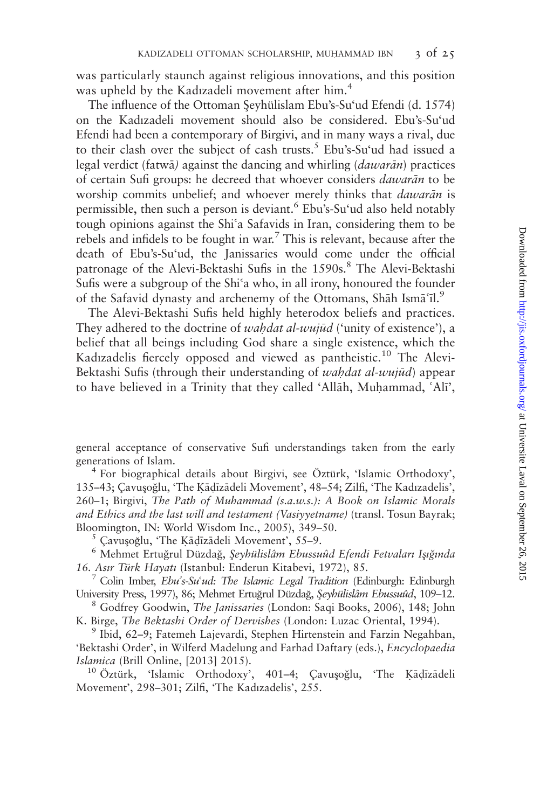was particularly staunch against religious innovations, and this position was upheld by the Kadızadeli movement after him.<sup>4</sup>

The influence of the Ottoman Seyhülislam Ebu's-Su'ud Efendi (d. 1574) on the Kadızadeli movement should also be considered. Ebu's-Su'ud Efendi had been a contemporary of Birgivi, and in many ways a rival, due to their clash over the subject of cash trusts.<sup>5</sup> Ebu's-Su'ud had issued a legal verdict (fatwā) against the dancing and whirling (*dawarān*) practices of certain Sufi groups: he decreed that whoever considers *dawarān* to be worship commits unbelief; and whoever merely thinks that *dawarān* is permissible, then such a person is deviant.<sup>6</sup> Ebu's-Su'ud also held notably tough opinions against the Shi'a Safavids in Iran, considering them to be rebels and infidels to be fought in war.<sup>7</sup> This is relevant, because after the death of Ebu's-Su'ud, the Janissaries would come under the official patronage of the Alevi-Bektashi Sufis in the 1590s.<sup>8</sup> The Alevi-Bektashi Sufis were a subgroup of the Shi'a who, in all irony, honoured the founder of the Safavid dynasty and archenemy of the Ottomans, Shah Isma $\tilde{a}$ .

The Alevi-Bektashi Sufis held highly heterodox beliefs and practices. They adhered to the doctrine of *wahdat al-wujud* ('unity of existence'), a belief that all beings including God share a single existence, which the Kadızadelis fiercely opposed and viewed as pantheistic.<sup>10</sup> The Alevi-Bektashi Sufis (through their understanding of wahdat al-wujūd) appear to have believed in a Trinity that they called 'Allah, Muhammad, 'Ali',

general acceptance of conservative Sufi understandings taken from the early generations of Islam.<br><sup>4</sup> For biographical details about Birgivi, see Öztürk, 'Islamic Orthodoxy',

135–43; Cavusoğlu, 'The Kādīzādeli Movement', 48–54; Zilfi, 'The Kadızadelis', 260–1; Birgivi, The Path of Muhammad (s.a.w.s.): A Book on Islamic Morals and Ethics and the last will and testament (Vasiyyetname) (transl. Tosun Bayrak;

Bloomington, IN: World Wisdom Inc., 2005), 349–50.<br><sup>5</sup> Çavuşoğlu, 'The Kāḍīzādeli Movement', 55–9.<br><sup>6</sup> Mehmet Ertuğrul Düzdağ, *Şeyhülislâm Ebussuûd Efendi Fetvaları Işığında*<br>16. Asır Türk Hayatı (Istanbul: Enderun Kitabe

<sup>7</sup> Colin Imber, *Ebu's-Su'ud: The Islamic Legal Tradition* (Edinburgh: Edinburgh University Press, 1997), 86; Mehmet Ertuğrul Düzdağ, *Şeyhülislâm Ebussuûd*, 109–12.<br><sup>8</sup> Godfrey Goodwin, The Janissaries (London: Saqi Books, 2006), 148; John

K. Birge, *The Bektashi Order of Dervishes* (London: Luzac Oriental, 1994).<br><sup>9</sup> Ibid, 62–9; Fatemeh Lajevardi, Stephen Hirtenstein and Farzin Negahban,

'Bektashi Order', in Wilferd Madelung and Farhad Daftary (eds.), Encyclopaedia

Islamica (Brill Online, [2013] 2015).<br><sup>10</sup> Öztürk, 'Islamic Orthodoxy', 401–4; Çavuşoğlu, 'The Kāḍīzādeli Movement', 298–301; Zilfi, 'The Kadızadelis', 255.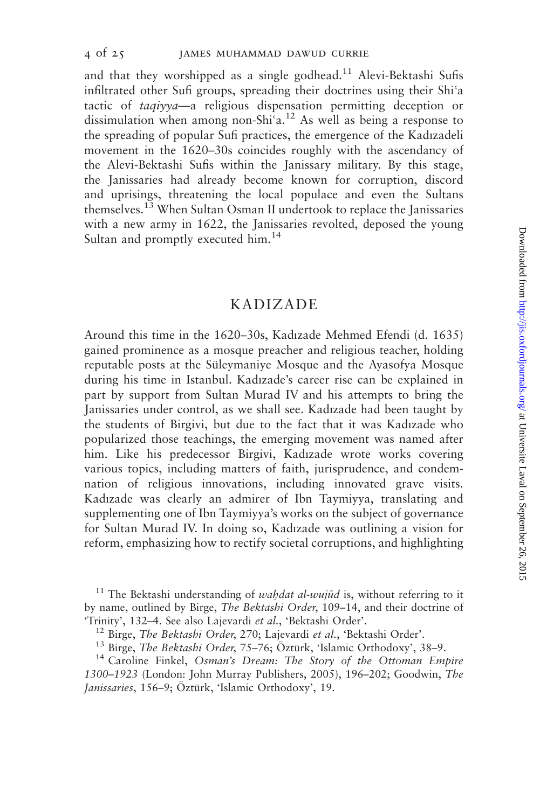and that they worshipped as a single godhead.<sup>11</sup> Alevi-Bektashi Sufis infiltrated other Sufi groups, spreading their doctrines using their Shi'a tactic of taqiyya—a religious dispensation permitting deception or dissimulation when among non-Shi'a.<sup>12</sup> As well as being a response to the spreading of popular Sufi practices, the emergence of the Kadızadeli movement in the 1620–30s coincides roughly with the ascendancy of the Alevi-Bektashi Sufis within the Janissary military. By this stage, the Janissaries had already become known for corruption, discord and uprisings, threatening the local populace and even the Sultans themselves.<sup>13</sup> When Sultan Osman II undertook to replace the Janissaries with a new army in 1622, the Janissaries revolted, deposed the young Sultan and promptly executed him.<sup>14</sup>

#### KADIZADE

Around this time in the 1620–30s, Kadızade Mehmed Efendi (d. 1635) gained prominence as a mosque preacher and religious teacher, holding reputable posts at the Süleymaniye Mosque and the Ayasofya Mosque during his time in Istanbul. Kadızade's career rise can be explained in part by support from Sultan Murad IV and his attempts to bring the Janissaries under control, as we shall see. Kadızade had been taught by the students of Birgivi, but due to the fact that it was Kadızade who popularized those teachings, the emerging movement was named after him. Like his predecessor Birgivi, Kadızade wrote works covering various topics, including matters of faith, jurisprudence, and condemnation of religious innovations, including innovated grave visits. Kadızade was clearly an admirer of Ibn Taymiyya, translating and supplementing one of Ibn Taymiyya's works on the subject of governance for Sultan Murad IV. In doing so, Kadızade was outlining a vision for reform, emphasizing how to rectify societal corruptions, and highlighting

<sup>11</sup> The Bektashi understanding of *wahdat al-wujud* is, without referring to it by name, outlined by Birge, The Bektashi Order, 109–14, and their doctrine of

<sup>&</sup>quot;Trinity", 132–4. See also Lajevardi *et al.*, 'Bektashi Order'.<br><sup>12</sup> Birge, *The Bektashi Order*, 270; Lajevardi *et al.*, 'Bektashi Order'.<br><sup>13</sup> Birge, *The Bektashi Order*, 75–76; Öztürk, 'Islamic Orthodoxy', 38–9.<br><sup>14</sup> 1300–1923 (London: John Murray Publishers, 2005), 196–202; Goodwin, The Janissaries, 156-9; Öztürk, 'Islamic Orthodoxy', 19.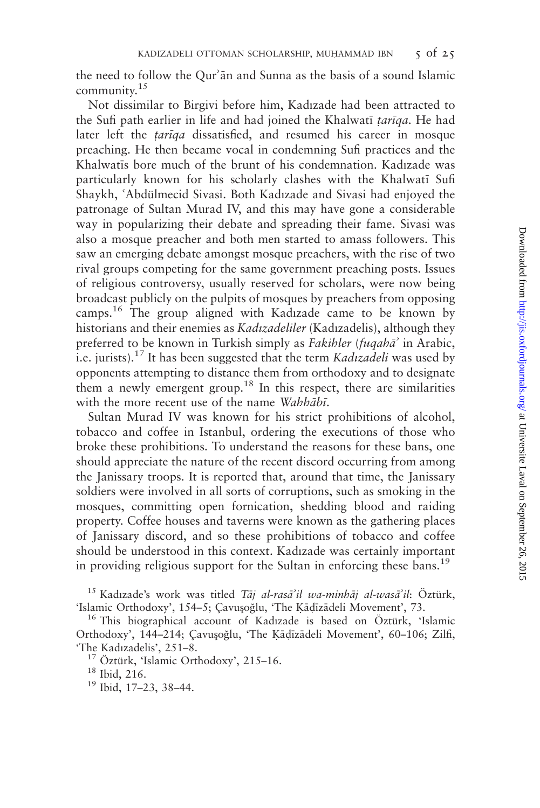the need to follow the Qur'an and Sunna as the basis of a sound Islamic community. $15$ 

Not dissimilar to Birgivi before him, Kadızade had been attracted to the Sufi path earlier in life and had joined the Khalwatī tarīga. He had later left the *tariqa* dissatisfied, and resumed his career in mosque preaching. He then became vocal in condemning Sufi practices and the Khalwatis bore much of the brunt of his condemnation. Kadızade was particularly known for his scholarly clashes with the Khalwati Sufi Shaykh, 'Abdülmecid Sivasi. Both Kadızade and Sivasi had enjoyed the patronage of Sultan Murad IV, and this may have gone a considerable way in popularizing their debate and spreading their fame. Sivasi was also a mosque preacher and both men started to amass followers. This saw an emerging debate amongst mosque preachers, with the rise of two rival groups competing for the same government preaching posts. Issues of religious controversy, usually reserved for scholars, were now being broadcast publicly on the pulpits of mosques by preachers from opposing camps.<sup>16</sup> The group aligned with Kadızade came to be known by historians and their enemies as *Kadızadeliler* (Kadızadelis), although they preferred to be known in Turkish simply as *Fakihler* (*fuqaha*<sup>2</sup> in Arabic, i.e. jurists).<sup>17</sup> It has been suggested that the term *Kadızadeli* was used by opponents attempting to distance them from orthodoxy and to designate them a newly emergent group.<sup>18</sup> In this respect, there are similarities with the more recent use of the name Wahhābī.

Sultan Murad IV was known for his strict prohibitions of alcohol, tobacco and coffee in Istanbul, ordering the executions of those who broke these prohibitions. To understand the reasons for these bans, one should appreciate the nature of the recent discord occurring from among the Janissary troops. It is reported that, around that time, the Janissary soldiers were involved in all sorts of corruptions, such as smoking in the mosques, committing open fornication, shedding blood and raiding property. Coffee houses and taverns were known as the gathering places of Janissary discord, and so these prohibitions of tobacco and coffee should be understood in this context. Kadızade was certainly important in providing religious support for the Sultan in enforcing these bans.<sup>19</sup>

<sup>15</sup> Kadızade's work was titled *Tāj al-rasā'il wa-minhāj al-wasā'il*: Öztürk, 'Islamic Orthodoxy', 154–5; Çavuşoğlu, 'The Kādīzādeli Movement', 73.

<sup>16</sup> This biographical account of Kadızade is based on Öztürk, 'Islamic Orthodoxy', 144–214; Çavuşoğlu, 'The Ķāḍīzādeli Movement', 60–106; Zilfi, 'The Kadızadelis', 251–8.

<sup>17</sup> Öztürk, 'Islamic Orthodoxy', 215–16. <sup>18</sup> Ibid, 216. 19 Ibid, 17–23, 38–44.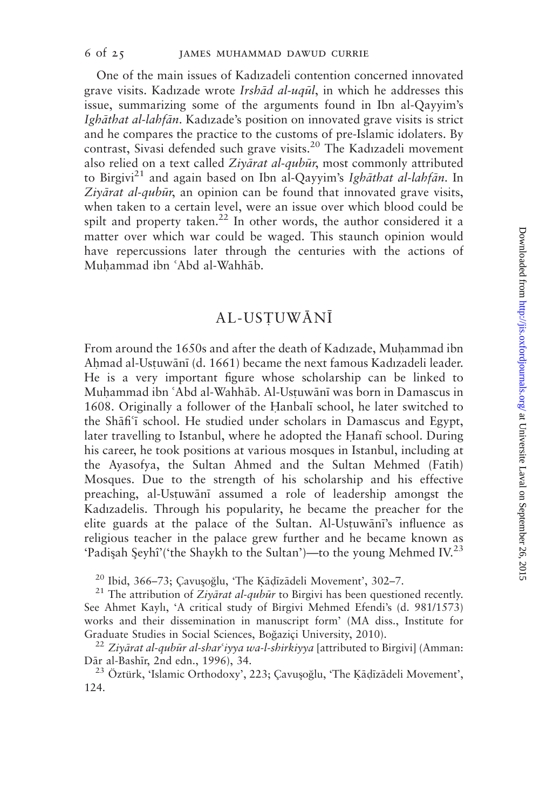One of the main issues of Kadızadeli contention concerned innovated grave visits. Kadızade wrote *Irshād al-uqu*l, in which he addresses this issue, summarizing some of the arguments found in Ibn al-Qayyim's Ighāthat al-lahfān. Kadızade's position on innovated grave visits is strict and he compares the practice to the customs of pre-Islamic idolaters. By contrast, Sivasi defended such grave visits.<sup>20</sup> The Kadızadeli movement also relied on a text called Ziyarat al-qubur, most commonly attributed to Birgivi<sup>21</sup> and again based on Ibn al-Qayyim's Ighathat al-lahfan. In Ziv $\bar{a}$ rat al-qub $\bar{u}$ r, an opinion can be found that innovated grave visits, when taken to a certain level, were an issue over which blood could be spilt and property taken.<sup>22</sup> In other words, the author considered it a matter over which war could be waged. This staunch opinion would have repercussions later through the centuries with the actions of Muhammad ibn 'Abd al-Wahhāb.

# **AL-USTUWĀNĪ**

From around the 1650s and after the death of Kadızade, Muhammad ibn Ahmad al-Ustuwānī (d. 1661) became the next famous Kadızadeli leader. He is a very important figure whose scholarship can be linked to Muhammad ibn 'Abd al-Wahhāb. Al-Ustuwānī was born in Damascus in 1608. Originally a follower of the Eanbal; school, he later switched to the Shafi<sup>c</sup>i school. He studied under scholars in Damascus and Egypt, later travelling to Istanbul, where he adopted the Hanafi school. During his career, he took positions at various mosques in Istanbul, including at the Ayasofya, the Sultan Ahmed and the Sultan Mehmed (Fatih) Mosques. Due to the strength of his scholarship and his effective preaching, al-Ustuwānī assumed a role of leadership amongst the Kadızadelis. Through his popularity, he became the preacher for the elite guards at the palace of the Sultan. Al-Ustuwāni's influence as religious teacher in the palace grew further and he became known as 'Padişah Şeyhî'('the Shaykh to the Sultan')—to the young Mehmed IV.<sup>23</sup>

<sup>20</sup> Ibid, 366–73; Çavuşoğlu, 'The Kādīzādeli Movement', 302–7.<br><sup>21</sup> The attribution of Ziyārat al-qubūr to Birgivi has been questioned recently. See Ahmet Kaylı, 'A critical study of Birgivi Mehmed Efendi's (d. 981/1573) works and their dissemination in manuscript form' (MA diss., Institute for Graduate Studies in Social Sciences, Boğaziçi University, 2010).<br><sup>22</sup> Ziyārat al-qubūr al-shar<sup>c</sup>iyya wa-l-shirkiyya [attributed to Birgivi] (Amman:

Dār al-Bashīr, 2nd edn., 1996), 34.<br><sup>23</sup> Öztürk, 'Islamic Orthodoxy', 223; Çavuşoğlu, 'The Kāḍīzādeli Movement',

124.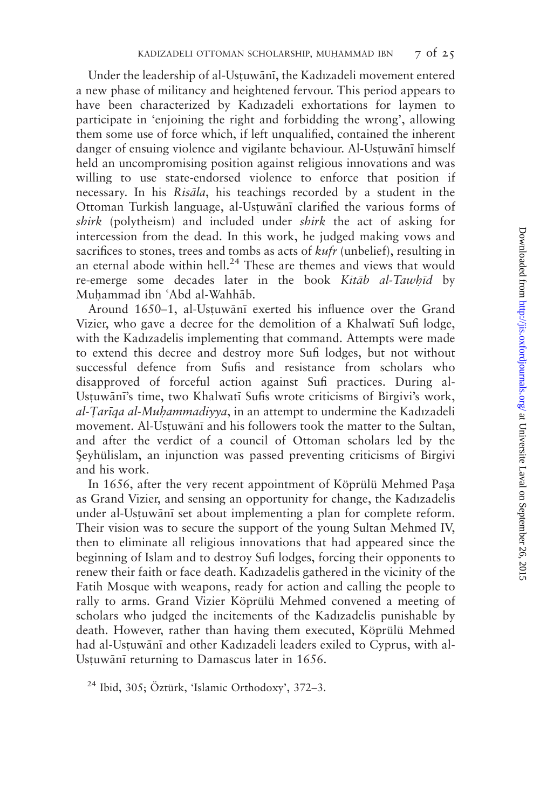Under the leadership of al-Ustuwānī, the Kadızadeli movement entered a new phase of militancy and heightened fervour. This period appears to have been characterized by Kadızadeli exhortations for laymen to participate in 'enjoining the right and forbidding the wrong', allowing them some use of force which, if left unqualified, contained the inherent danger of ensuing violence and vigilante behaviour. Al-Ustuwānī himself held an uncompromising position against religious innovations and was willing to use state-endorsed violence to enforce that position if necessary. In his Risāla, his teachings recorded by a student in the Ottoman Turkish language, al-Ustuwānī clarified the various forms of shirk (polytheism) and included under shirk the act of asking for intercession from the dead. In this work, he judged making vows and sacrifices to stones, trees and tombs as acts of *kufr* (unbelief), resulting in an eternal abode within hell.<sup>24</sup> These are themes and views that would re-emerge some decades later in the book Kitāb al-Tawhīd by Muhammad ibn 'Abd al-Wahhāb.

Around 1650–1, al-Ustuwānī exerted his influence over the Grand Vizier, who gave a decree for the demolition of a Khalwati Sufi lodge, with the Kadızadelis implementing that command. Attempts were made to extend this decree and destroy more Sufi lodges, but not without successful defence from Sufis and resistance from scholars who disapproved of forceful action against Sufi practices. During al-Ustuwānī's time, two Khalwatī Sufis wrote criticisms of Birgivi's work, al-Tariga al-Muhammadiyya, in an attempt to undermine the Kadızadeli movement. Al-Ustuwānī and his followers took the matter to the Sultan, and after the verdict of a council of Ottoman scholars led by the Seyhülislam, an injunction was passed preventing criticisms of Birgivi and his work.

In 1656, after the very recent appointment of Köprülü Mehmed Paşa as Grand Vizier, and sensing an opportunity for change, the Kadızadelis under al-Ustuwānī set about implementing a plan for complete reform. Their vision was to secure the support of the young Sultan Mehmed IV, then to eliminate all religious innovations that had appeared since the beginning of Islam and to destroy Sufi lodges, forcing their opponents to renew their faith or face death. Kadızadelis gathered in the vicinity of the Fatih Mosque with weapons, ready for action and calling the people to rally to arms. Grand Vizier Köprülü Mehmed convened a meeting of scholars who judged the incitements of the Kadızadelis punishable by death. However, rather than having them executed, Köprülü Mehmed had al-Ustuwānī and other Kadızadeli leaders exiled to Cyprus, with al-Ustuwānī returning to Damascus later in 1656.

 $24$  Ibid, 305; Öztürk, 'Islamic Orthodoxy', 372–3.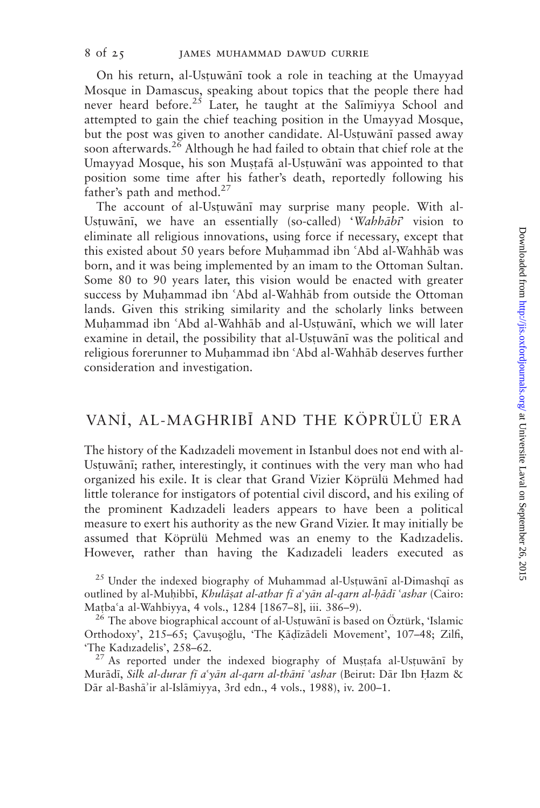On his return, al-Ustuwānī took a role in teaching at the Umayyad Mosque in Damascus, speaking about topics that the people there had never heard before.<sup>25</sup> Later, he taught at the Salimiyya School and attempted to gain the chief teaching position in the Umayyad Mosque, but the post was given to another candidate. Al-Ustuwānī passed away soon afterwards.<sup>26</sup> Although he had failed to obtain that chief role at the Umayyad Mosque, his son Mustafā al-Ustuwānī was appointed to that position some time after his father's death, reportedly following his father's path and method. $27$ 

The account of al-Ustuwānī may surprise many people. With al-Ustuwānī, we have an essentially (so-called) 'Wahhābī' vision to eliminate all religious innovations, using force if necessary, except that this existed about 50 years before Muhammad ibn 'Abd al-Wahhāb was born, and it was being implemented by an imam to the Ottoman Sultan. Some 80 to 90 years later, this vision would be enacted with greater success by Muhammad ibn 'Abd al-Wahhāb from outside the Ottoman lands. Given this striking similarity and the scholarly links between Muhammad ibn 'Abd al-Wahhāb and al-Ustuwānī, which we will later examine in detail, the possibility that al-Ustuwānī was the political and religious forerunner to Muhammad ibn 'Abd al-Wahhāb deserves further consideration and investigation.

# VANİ, AL-MAGHRIBĪ AND THE KÖPRÜLÜ ERA

The history of the Kadızadeli movement in Istanbul does not end with al-Ustuwānī; rather, interestingly, it continues with the very man who had organized his exile. It is clear that Grand Vizier Köprülü Mehmed had little tolerance for instigators of potential civil discord, and his exiling of the prominent Kadızadeli leaders appears to have been a political measure to exert his authority as the new Grand Vizier. It may initially be assumed that Köprülü Mehmed was an enemy to the Kadızadelis. However, rather than having the Kadızadeli leaders executed as

 $^{25}$  Under the indexed biography of Muhammad al-Ustuwānī al-Dimashqī as outlined by al-Muhibbī, Khulāsat al-athar fī a'yān al-qarn al-hādī 'ashar (Cairo: Matba'a al-Wahbiyya, 4 vols., 1284 [1867–8], iii. 386–9). <sup>26</sup> The above biographical account of al-Ustuwānī is based on Öztürk, 'Islamic

Orthodoxy', 215–65; Çavuşoğlu, 'The Kāḍīzādeli Movement', 107–48; Zilfi, 'The Kadızadelis', 258–62.

 $27$  As reported under the indexed biography of Mustafa al-Ustuwani by Murādī, Silk al-durar fī a'yān al-qarn al-thānī 'ashar (Beirut: Dār Ibn Hazm & Dār al-Bashā'ir al-Islāmiyya, 3rd edn., 4 vols., 1988), iv. 200-1.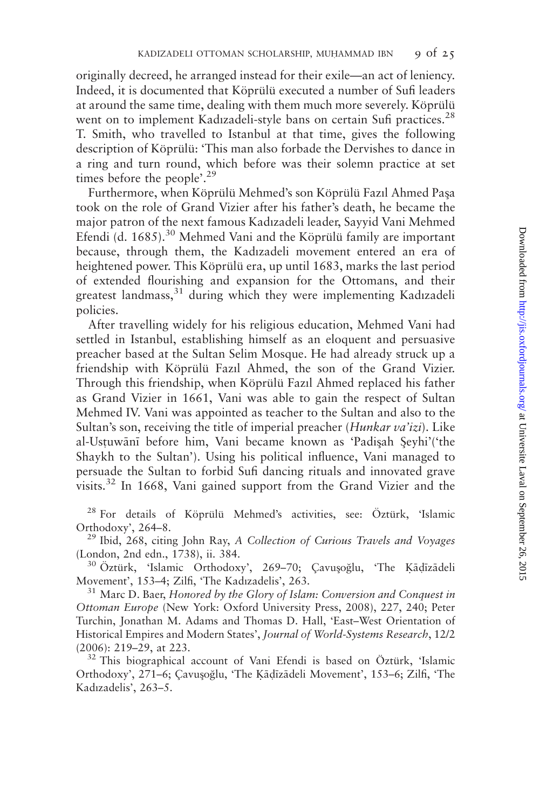originally decreed, he arranged instead for their exile—an act of leniency. Indeed, it is documented that Köprülü executed a number of Sufi leaders at around the same time, dealing with them much more severely. Köprülü went on to implement Kadızadeli-style bans on certain Sufi practices.<sup>28</sup> T. Smith, who travelled to Istanbul at that time, gives the following description of Köprülü: 'This man also forbade the Dervishes to dance in a ring and turn round, which before was their solemn practice at set times before the people'.<sup>29</sup>

Furthermore, when Köprülü Mehmed's son Köprülü Fazıl Ahmed Paşa took on the role of Grand Vizier after his father's death, he became the major patron of the next famous Kadızadeli leader, Sayyid Vani Mehmed Efendi (d. 1685).<sup>30</sup> Mehmed Vani and the Köprülü family are important because, through them, the Kadızadeli movement entered an era of heightened power. This Köprülü era, up until 1683, marks the last period of extended flourishing and expansion for the Ottomans, and their greatest landmass,<sup>31</sup> during which they were implementing Kadızadeli policies.

After travelling widely for his religious education, Mehmed Vani had settled in Istanbul, establishing himself as an eloquent and persuasive preacher based at the Sultan Selim Mosque. He had already struck up a friendship with Köprülü Fazıl Ahmed, the son of the Grand Vizier. Through this friendship, when Köprülü Fazıl Ahmed replaced his father as Grand Vizier in 1661, Vani was able to gain the respect of Sultan Mehmed IV. Vani was appointed as teacher to the Sultan and also to the Sultan's son, receiving the title of imperial preacher (Hunkar va'izi). Like al-Ustuwānī before him, Vani became known as 'Padişah Şeyhi'('the Shaykh to the Sultan'). Using his political influence, Vani managed to persuade the Sultan to forbid Sufi dancing rituals and innovated grave visits.<sup>32</sup> In 1668, Vani gained support from the Grand Vizier and the

 $28$  For details of Köprülü Mehmed's activities, see: Öztürk, 'Islamic Orthodoxy', 264–8.<br><sup>29</sup> Ibid, 268, citing John Ray, *A Collection of Curious Travels and Voyages* 

(London, 2nd edn., 1738), ii. 384.<br><sup>30</sup> Öztürk, 'Islamic Orthodoxy', 269–70; Çavuşoğlu, 'The Ķāḍīzādeli<br>Movement', 153–4; Zilfi, 'The Kadızadelis', 263.

 $31$  Marc D. Baer, Honored by the Glory of Islam: Conversion and Conquest in Ottoman Europe (New York: Oxford University Press, 2008), 227, 240; Peter Turchin, Jonathan M. Adams and Thomas D. Hall, 'East–West Orientation of Historical Empires and Modern States', Journal of World-Systems Research, 12/2

(2006): 219–29, at 223.<br> $32$  This biographical account of Vani Efendi is based on Öztürk, 'Islamic Orthodoxy', 271–6; Çavuşoğlu, 'The Kādīzādeli Movement', 153–6; Zilfi, 'The Kadızadelis', 263–5.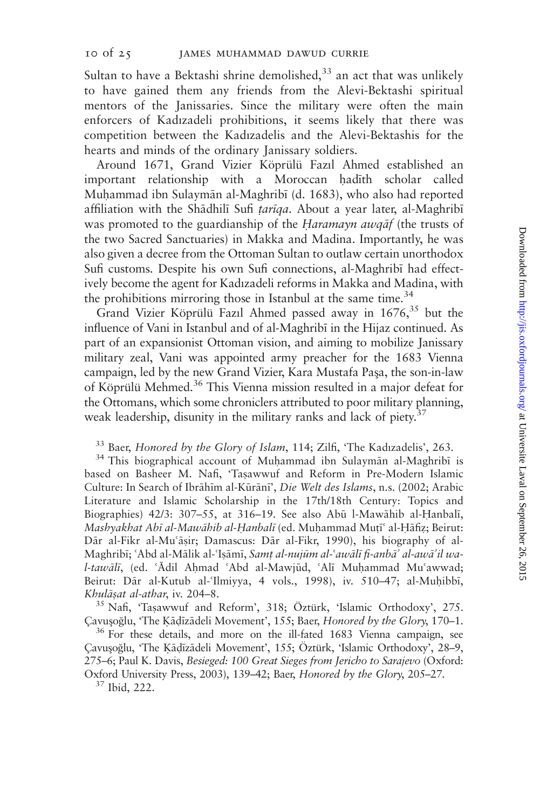Sultan to have a Bektashi shrine demolished, $33$  an act that was unlikely to have gained them any friends from the Alevi-Bektashi spiritual mentors of the Janissaries. Since the military were often the main enforcers of Kadızadeli prohibitions, it seems likely that there was competition between the Kadızadelis and the Alevi-Bektashis for the hearts and minds of the ordinary Janissary soldiers.

Around 1671, Grand Vizier Köprülü Fazıl Ahmed established an important relationship with a Moroccan hadith scholar called Muhammad ibn Sulaymān al-Maghribī (d. 1683), who also had reported affiliation with the Shādhilī Sufi tarīqa. About a year later, al-Maghribī was promoted to the guardianship of the Haramayn awqāf (the trusts of the two Sacred Sanctuaries) in Makka and Madina. Importantly, he was also given a decree from the Ottoman Sultan to outlaw certain unorthodox Sufi customs. Despite his own Sufi connections, al-Maghrib; had effectively become the agent for Kadızadeli reforms in Makka and Madina, with the prohibitions mirroring those in Istanbul at the same time.<sup>34</sup>

Grand Vizier Köprülü Fazıl Ahmed passed away in  $1676<sup>35</sup>$  but the influence of Vani in Istanbul and of al-Maghribi in the Hijaz continued. As part of an expansionist Ottoman vision, and aiming to mobilize Janissary military zeal, Vani was appointed army preacher for the 1683 Vienna campaign, led by the new Grand Vizier, Kara Mustafa Paşa, the son-in-law of Köprülü Mehmed.<sup>36</sup> This Vienna mission resulted in a major defeat for the Ottomans, which some chroniclers attributed to poor military planning, weak leadership, disunity in the military ranks and lack of piety. $37$ 

# <sup>33</sup> Baer, *Honored by the Glory of Islam*, 114; Zilfi, 'The Kadızadelis', 263.<br><sup>34</sup> This biographical account of Muhammad ibn Sulaymān al-Maghribī is

based on Basheer M. Nafi, 'Taşawwuf and Reform in Pre-Modern Islamic Culture: In Search of Ibrāhīm al-Kūrānī', Die Welt des Islams, n.s. (2002; Arabic Literature and Islamic Scholarship in the 17th/18th Century: Topics and Biographies) 42/3: 307-55, at 316-19. See also Abū l-Mawāhib al-Hanbalī, Mashyakhat Abī al-Mawāhib al-Hanbalī (ed. Muhammad Mutī<sup>s</sup> al-Hāfiz; Beirut: Dār al-Fikr al-Mu'āṣir; Damascus: Dār al-Fikr, 1990), his biography of al-Maghribī; 'Abd al-Mālik al-'Isāmī, Samt al-nujūm al-'awālī fi-anbā' al-awā'il wal-tawālī, (ed. 'Ādil Ahmad 'Abd al-Mawjūd, 'Alī Muhammad Mu'awwad; Beirut: Dār al-Kutub al-'Ilmiyya, 4 vols., 1998), iv. 510-47; al-Muhibbī, Khulāṣat al-athar, iv. 204–8.<br><sup>35</sup> Nafi, 'Taṣawwuf and Reform', 318; Öztürk, 'Islamic Orthodoxy', 275.

Gavusoğlu, 'The Kāḍīzādeli Movement', 155; Baer, Honored by the Glory, 170–1.<br><sup>36</sup> For these details, and more on the ill-fated 1683 Vienna campaign, see

Çavuşoğlu, 'The Kādīzādeli Movement', 155; Öztürk, 'Islamic Orthodoxy', 28–9, 275–6; Paul K. Davis, Besieged: 100 Great Sieges from Jericho to Sarajevo (Oxford: Oxford University Press, 2003), 139–42; Baer, Honored by the Glory, 205–27.<br><sup>37</sup> Ibid, 222.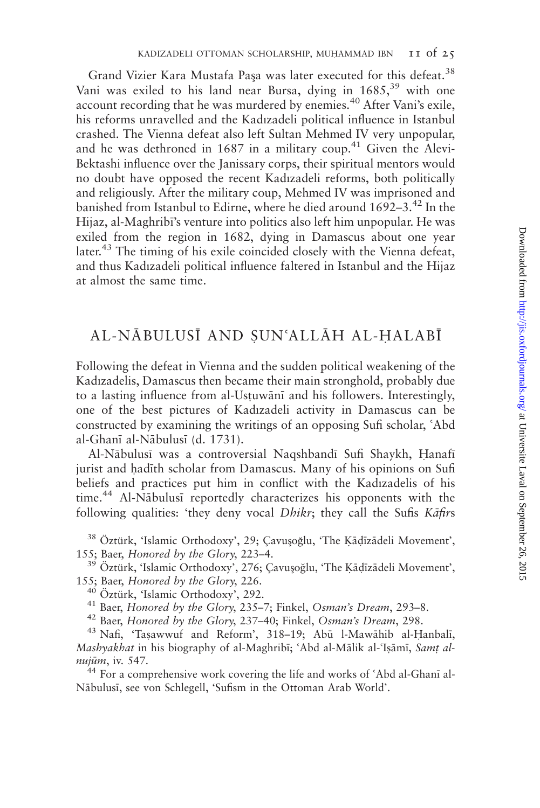Grand Vizier Kara Mustafa Paşa was later executed for this defeat.<sup>38</sup> Vani was exiled to his land near Bursa, dving in 1685,<sup>39</sup> with one account recording that he was murdered by enemies.<sup>40</sup> After Vani's exile, his reforms unravelled and the Kadızadeli political influence in Istanbul crashed. The Vienna defeat also left Sultan Mehmed IV very unpopular, and he was dethroned in  $1687$  in a military coup.<sup>41</sup> Given the Alevi-Bektashi influence over the Janissary corps, their spiritual mentors would no doubt have opposed the recent Kadızadeli reforms, both politically and religiously. After the military coup, Mehmed IV was imprisoned and banished from Istanbul to Edirne, where he died around 1692–3.<sup>42</sup> In the Hijaz, al-Maghribi's venture into politics also left him unpopular. He was exiled from the region in 1682, dying in Damascus about one year later.<sup>43</sup> The timing of his exile coincided closely with the Vienna defeat, and thus Kadızadeli political influence faltered in Istanbul and the Hijaz at almost the same time.

# AL-NĀBULUSĪ AND SUN'ALLĀH AL-HALABĪ

Following the defeat in Vienna and the sudden political weakening of the Kadızadelis, Damascus then became their main stronghold, probably due to a lasting influence from al-Ustuwānī and his followers. Interestingly, one of the best pictures of Kadızadeli activity in Damascus can be constructed by examining the writings of an opposing Sufi scholar, 'Abd al-Ghanī al-Nābulusī (d. 1731).

Al-Nābulusī was a controversial Naqshbandī Sufi Shaykh, Hanafī jurist and hadīth scholar from Damascus. Many of his opinions on Sufi beliefs and practices put him in conflict with the Kadızadelis of his  $time<sup>44</sup>$  Al-Nabulusi reportedly characterizes his opponents with the following qualities: 'they deny vocal *Dhikr*; they call the Sufis Kafirs

 $38$  Öztürk, 'Islamic Orthodoxy', 29; Çavuşoğlu, 'The Kāḍīzādeli Movement', 155; Baer, Honored by the Glory, 223–4.

 $^{39}$  Öztürk, 'Islamic Orthodoxy', 276; Çavuşoğlu, 'The Kāḍīzādeli Movement', 155; Baer, Honored by the Glory, 226.

<sup>40</sup> Öztürk, 'Islamic Orthodoxy', 292.<br><sup>41</sup> Baer, *Honored by the Glory*, 235–7; Finkel, Osman's Dream, 293–8.<br><sup>42</sup> Baer, *Honored by the Glory*, 237–40; Finkel, Osman's Dream, 298.<br><sup>43</sup> Nafi, 'Tasawwuf and Reform', 318–1

Mashyakhat in his biography of al-Maghribī; 'Abd al-Mālik al-'Isāmī, Samt al $nuij\$ , iv. 547.<sup>44</sup> For a comprehensive work covering the life and works of 'Abd al-Ghani al-

Nābulusī, see von Schlegell, 'Sufism in the Ottoman Arab World'.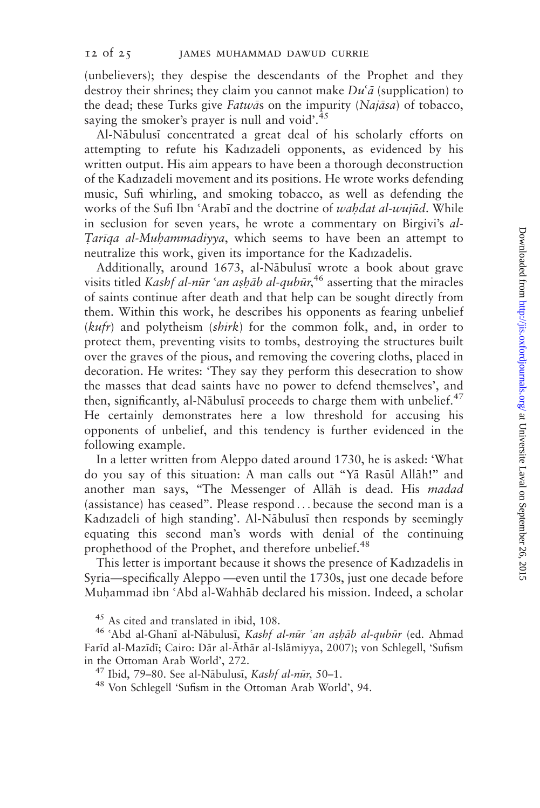(unbelievers); they despise the descendants of the Prophet and they destroy their shrines; they claim you cannot make  $Du^{\zeta}\bar{a}$  (supplication) to the dead; these Turks give Fatwas on the impurity (Najasa) of tobacco, saying the smoker's prayer is null and void'. $45$ 

Al-Nābulusī concentrated a great deal of his scholarly efforts on attempting to refute his Kadızadeli opponents, as evidenced by his written output. His aim appears to have been a thorough deconstruction of the Kadızadeli movement and its positions. He wrote works defending music, Sufi whirling, and smoking tobacco, as well as defending the works of the Sufi Ibn 'Arabi and the doctrine of wahdat al-wujūd. While in seclusion for seven years, he wrote a commentary on Birgivi's al-Tariga al-Muhammadiyya, which seems to have been an attempt to neutralize this work, given its importance for the Kadızadelis.

Additionally, around 1673, al-Nābulusī wrote a book about grave visits titled Kashf al-nūr 'an aṣḥāb al-qubūr,<sup>46</sup> asserting that the miracles of saints continue after death and that help can be sought directly from them. Within this work, he describes his opponents as fearing unbelief (kufr) and polytheism (shirk) for the common folk, and, in order to protect them, preventing visits to tombs, destroying the structures built over the graves of the pious, and removing the covering cloths, placed in decoration. He writes: 'They say they perform this desecration to show the masses that dead saints have no power to defend themselves', and then, significantly, al-Nābulusī proceeds to charge them with unbelief. $47$ He certainly demonstrates here a low threshold for accusing his opponents of unbelief, and this tendency is further evidenced in the following example.

In a letter written from Aleppo dated around 1730, he is asked: 'What do you say of this situation: A man calls out "Ya Rasul Allah!" and another man says, "The Messenger of Allah is dead. His madad (assistance) has ceased''. Please respond ... because the second man is a Kadızadeli of high standing'. Al-Nābulusī then responds by seemingly equating this second man's words with denial of the continuing prophethood of the Prophet, and therefore unbelief.<sup>48</sup>

This letter is important because it shows the presence of Kadızadelis in Syria—specifically Aleppo —even until the 1730s, just one decade before Muhammad ibn 'Abd al-Wahhāb declared his mission. Indeed, a scholar

<sup>&</sup>lt;sup>45</sup> As cited and translated in ibid, 108.<br><sup>46</sup> 'Abd al-Ghanī al-Nābulusī, *Kashf al-nūr 'an aṣḥāb al-qubūr* (ed. Aḥmad Farīd al-Mazīdī; Cairo: Dār al-Āthār al-Islāmiyya, 2007); von Schlegell, 'Sufism in the Ottoman Arab World', 272.<br><sup>47</sup> Ibid, 79–80. See al-Nābulusī, *Kashf al-nūr*, 50–1.<br><sup>48</sup> Von Schlegell 'Sufism in the Ottoman Arab World', 94.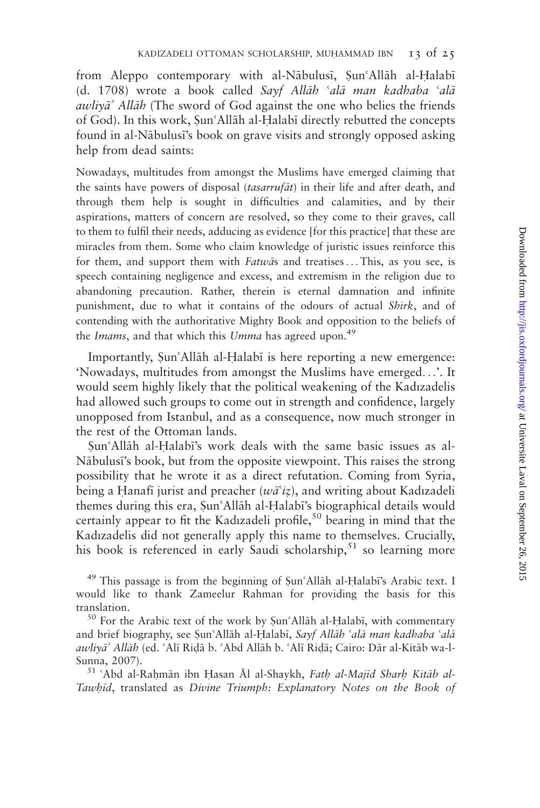from Aleppo contemporary with al-Nābulusī, Şun'Allāh al-Halabī (d. 1708) wrote a book called Sayf Allāh 'alā man kadhaba 'alā awliva<sup>3</sup> Allah (The sword of God against the one who belies the friends of God). In this work, Sun'Allāh al-Halabī directly rebutted the concepts found in al-Nābulusī's book on grave visits and strongly opposed asking help from dead saints:

Nowadays, multitudes from amongst the Muslims have emerged claiming that the saints have powers of disposal (*tasarrufat*) in their life and after death, and through them help is sought in difficulties and calamities, and by their aspirations, matters of concern are resolved, so they come to their graves, call to them to fulfil their needs, adducing as evidence [for this practice] that these are miracles from them. Some who claim knowledge of juristic issues reinforce this for them, and support them with Fatwas and treatises...This, as you see, is speech containing negligence and excess, and extremism in the religion due to abandoning precaution. Rather, therein is eternal damnation and infinite punishment, due to what it contains of the odours of actual Shirk, and of contending with the authoritative Mighty Book and opposition to the beliefs of the Imams, and that which this Umma has agreed upon.<sup>49</sup>

Importantly, Sun'Allah al-Halabi is here reporting a new emergence: 'Nowadays, multitudes from amongst the Muslims have emerged...'. It would seem highly likely that the political weakening of the Kadızadelis had allowed such groups to come out in strength and confidence, largely unopposed from Istanbul, and as a consequence, now much stronger in the rest of the Ottoman lands.

Sun<sup>'</sup>Allah al-Halabi's work deals with the same basic issues as al-Nābulusī's book, but from the opposite viewpoint. This raises the strong possibility that he wrote it as a direct refutation. Coming from Syria, being a Hanafi jurist and preacher ( $w\bar{a}$ <sup>c</sup>iz), and writing about Kadızadeli themes during this era, Sun'Allāh al-Halabī's biographical details would certainly appear to fit the Kadızadeli profile,<sup>50</sup> bearing in mind that the Kadızadelis did not generally apply this name to themselves. Crucially, his book is referenced in early Saudi scholarship,  $51$  so learning more

 $49$  This passage is from the beginning of Sun'Allah al-Halabi's Arabic text. I would like to thank Zameelur Rahman for providing the basis for this translation.<br><sup>50</sup> For the Arabic text of the work by  $\text{Sun'}\$ Allāh al-Halabī, with commentary

and brief biography, see Sun'Allāh al-Halabī, Sayf Allāh 'alā man kadhaba 'alā awliyā' Allāh (ed. 'Alī Ridā b. 'Abd Allāh b. 'Alī Ridā; Cairo: Dār al-Kitāb wa-l-

Sunna, 2007).<br><sup>51</sup> ^Abd al-Raḥmān ibn Ḥasan Āl al-Shaykh, *Fatḥ al-Majīd Sharḥ Kitāb al-*Tawhid, translated as Divine Triumph: Explanatory Notes on the Book of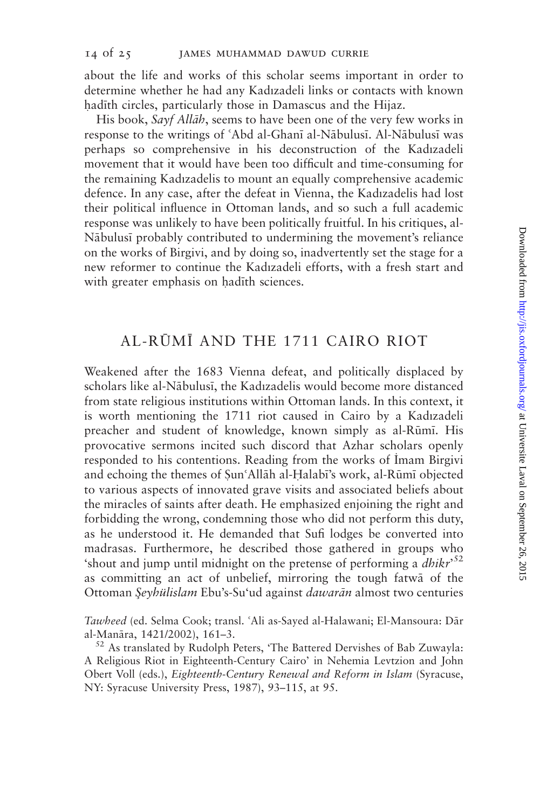about the life and works of this scholar seems important in order to determine whether he had any Kadızadeli links or contacts with known hadith circles, particularly those in Damascus and the Hijaz.

His book, Sayf Allah, seems to have been one of the very few works in response to the writings of 'Abd al-Ghanī al-Nābulusī. Al-Nābulusī was perhaps so comprehensive in his deconstruction of the Kadızadeli movement that it would have been too difficult and time-consuming for the remaining Kadızadelis to mount an equally comprehensive academic defence. In any case, after the defeat in Vienna, the Kadızadelis had lost their political influence in Ottoman lands, and so such a full academic response was unlikely to have been politically fruitful. In his critiques, al-Nābulusī probably contributed to undermining the movement's reliance on the works of Birgivi, and by doing so, inadvertently set the stage for a new reformer to continue the Kadızadeli efforts, with a fresh start and with greater emphasis on hadith sciences.

# AL-RŪMĪ AND THE 1711 CAIRO RIOT

Weakened after the 1683 Vienna defeat, and politically displaced by scholars like al-Nābulusī, the Kadızadelis would become more distanced from state religious institutions within Ottoman lands. In this context, it is worth mentioning the 1711 riot caused in Cairo by a Kadızadeli preacher and student of knowledge, known simply as al-Rūmī. His provocative sermons incited such discord that Azhar scholars openly responded to his contentions. Reading from the works of Imam Birgivi and echoing the themes of Sun'Allāh al-Halabī's work, al-Rūmī objected to various aspects of innovated grave visits and associated beliefs about the miracles of saints after death. He emphasized enjoining the right and forbidding the wrong, condemning those who did not perform this duty, as he understood it. He demanded that Sufi lodges be converted into madrasas. Furthermore, he described those gathered in groups who 'shout and jump until midnight on the pretense of performing a  $dhikr<sup>52</sup>$ as committing an act of unbelief, mirroring the tough fatwa of the Ottoman Şeyhülislam Ebu's-Su'ud against dawarān almost two centuries

Tawheed (ed. Selma Cook; transl. 'Ali as-Sayed al-Halawani; El-Mansoura: Dār al-Manāra, 1421/2002), 161–3.<br><sup>52</sup> As translated by Rudolph Peters, 'The Battered Dervishes of Bab Zuwayla:

A Religious Riot in Eighteenth-Century Cairo' in Nehemia Levtzion and John Obert Voll (eds.), Eighteenth-Century Renewal and Reform in Islam (Syracuse, NY: Syracuse University Press, 1987), 93–115, at 95.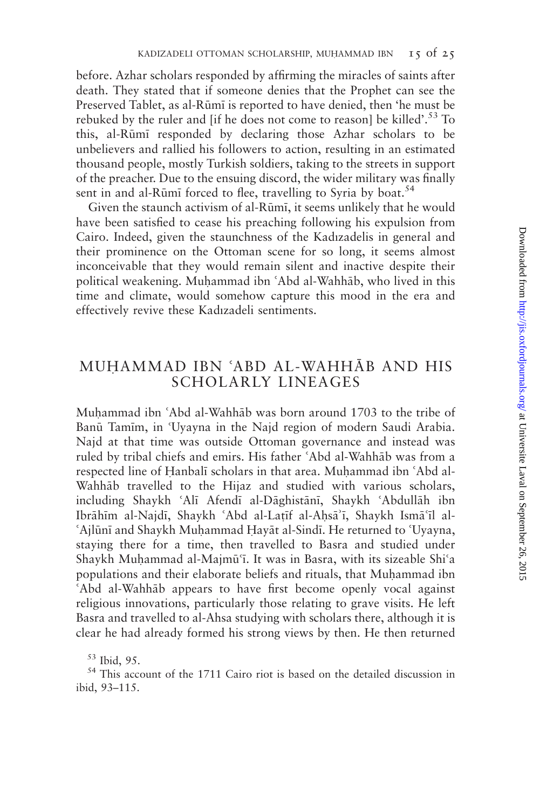before. Azhar scholars responded by affirming the miracles of saints after death. They stated that if someone denies that the Prophet can see the Preserved Tablet, as al-Rūmī is reported to have denied, then 'he must be rebuked by the ruler and [if he does not come to reason] be killed'.<sup>53</sup> To this, al-Rūmī responded by declaring those Azhar scholars to be unbelievers and rallied his followers to action, resulting in an estimated thousand people, mostly Turkish soldiers, taking to the streets in support of the preacher. Due to the ensuing discord, the wider military was finally sent in and al-Rūmī forced to flee, travelling to Syria by boat.<sup>54</sup>

Given the staunch activism of al-Rūmī, it seems unlikely that he would have been satisfied to cease his preaching following his expulsion from Cairo. Indeed, given the staunchness of the Kadızadelis in general and their prominence on the Ottoman scene for so long, it seems almost inconceivable that they would remain silent and inactive despite their political weakening. Muhammad ibn 'Abd al-Wahhāb, who lived in this time and climate, would somehow capture this mood in the era and effectively revive these Kadızadeli sentiments.

# MUHAMMAD IBN 'ABD AL-WAHHĀB AND HIS SCHOLARLY LINEAGES

Muhammad ibn 'Abd al-Wahhab was born around 1703 to the tribe of Banū Tamīm, in 'Uyayna in the Najd region of modern Saudi Arabia. Najd at that time was outside Ottoman governance and instead was ruled by tribal chiefs and emirs. His father 'Abd al-Wahhāb was from a respected line of Hanbalī scholars in that area. Muhammad ibn 'Abd al-Wahhab travelled to the Hijaz and studied with various scholars, including Shaykh 'Alī Afendī al-Dāghistānī, Shaykh 'Abdullāh ibn Ibrāhīm al-Najdī, Shaykh ʿAbd al-Laṭīf al-Aḥsāʾī, Shaykh Ismāʿīl al-<br>ʿAjlūnī and Shaykh Muḥammad Ḥayāt al-Sindī. He returned to ʿUyayna, staying there for a time, then travelled to Basra and studied under Shaykh Muhammad al-Majmū'ī. It was in Basra, with its sizeable Shi'a populations and their elaborate beliefs and rituals, that Muḥammad ibn 'Abd al-Wahhāb appears to have first become openly vocal against religious innovations, particularly those relating to grave visits. He left Basra and travelled to al-Ahsa studying with scholars there, although it is clear he had already formed his strong views by then. He then returned

<sup>53</sup> Ibid, 95. <sup>54</sup> This account of the 1711 Cairo riot is based on the detailed discussion in ibid, 93–115.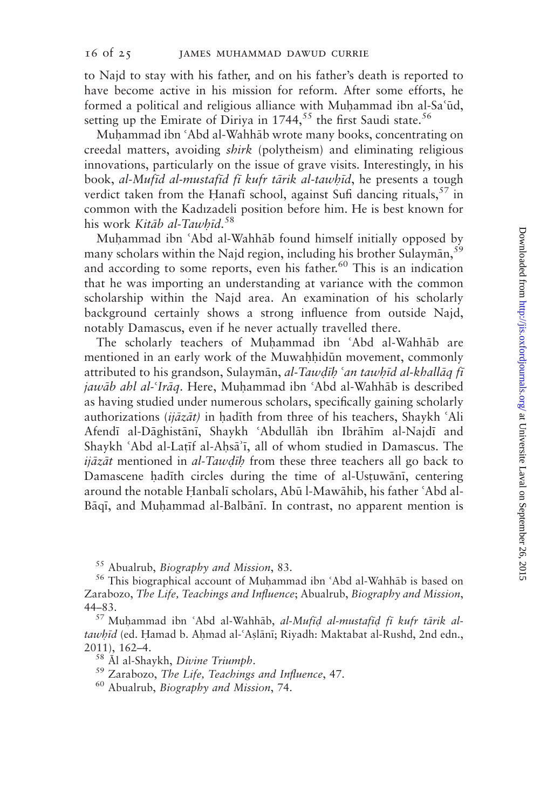to Najd to stay with his father, and on his father's death is reported to have become active in his mission for reform. After some efforts, he formed a political and religious alliance with Muhammad ibn al-Sa'ūd, setting up the Emirate of Diriya in  $1744$ ,<sup>55</sup> the first Saudi state.<sup>56</sup>

Muhammad ibn 'Abd al-Wahhāb wrote many books, concentrating on creedal matters, avoiding shirk (polytheism) and eliminating religious innovations, particularly on the issue of grave visits. Interestingly, in his book, al-Mufid al-mustafid fi kufr tārik al-tawhīd, he presents a tough verdict taken from the Hanafi school, against Sufi dancing rituals,  $57$  in common with the Kadızadeli position before him. He is best known for his work Kitāb al-Tawhīd.<sup>58</sup>

Muhammad ibn 'Abd al-Wahhāb found himself initially opposed by many scholars within the Najd region, including his brother Sulayman,  $59$ and according to some reports, even his father.<sup>60</sup> This is an indication that he was importing an understanding at variance with the common scholarship within the Najd area. An examination of his scholarly background certainly shows a strong influence from outside Najd, notably Damascus, even if he never actually travelled there.

The scholarly teachers of Muhammad ibn 'Abd al-Wahhāb are mentioned in an early work of the Muwahhidūn movement, commonly attributed to his grandson, Sulaymān, al-Tawdīh 'an tawhīd al-khallāg fī jawāb ahl al-'Irāq. Here, Muhammad ibn 'Abd al-Wahhāb is described as having studied under numerous scholars, specifically gaining scholarly authorizations (ijāzāt) in hadīth from three of his teachers, Shaykh 'Ali Afendī al-Dāghistānī, Shaykh 'Abdullāh ibn Ibrāhīm al-Najdī and Shaykh 'Abd al-Latīf al-Ahsā'ī, all of whom studied in Damascus. The  $i\vec{q}$  azat mentioned in al-Tawdih from these three teachers all go back to Damascene hadith circles during the time of al-Ustuwāni, centering around the notable Hanbalī scholars, Abū l-Mawāhib, his father 'Abd al-Bāqī, and Muḥammad al-Balbānī. In contrast, no apparent mention is

<sup>55</sup> Abualrub, *Biography and Mission*, 83.<br><sup>56</sup> This biographical account of Muḥammad ibn ʿAbd al-Wahhāb is based on Zarabozo, The Life, Teachings and Influence; Abualrub, Biography and Mission, 44–83.<br><sup>57</sup> Muhammad ibn 'Abd al-Wahhāb, *al-Mufīd al-mustafīd fī kufr tārik al-*

tawhīd (ed. Hamad b. Ahmad al-'Aslānī; Riyadh: Maktabat al-Rushd, 2nd edn., 2011), 162–4.<br><sup>58</sup> Al al-Shaykh, *Divine Triumph*.<br><sup>59</sup> Zarabozo, *The Life*, *Teachings and Influence*, 47.<br><sup>60</sup> Abualrub, *Biography and Mission*, 74.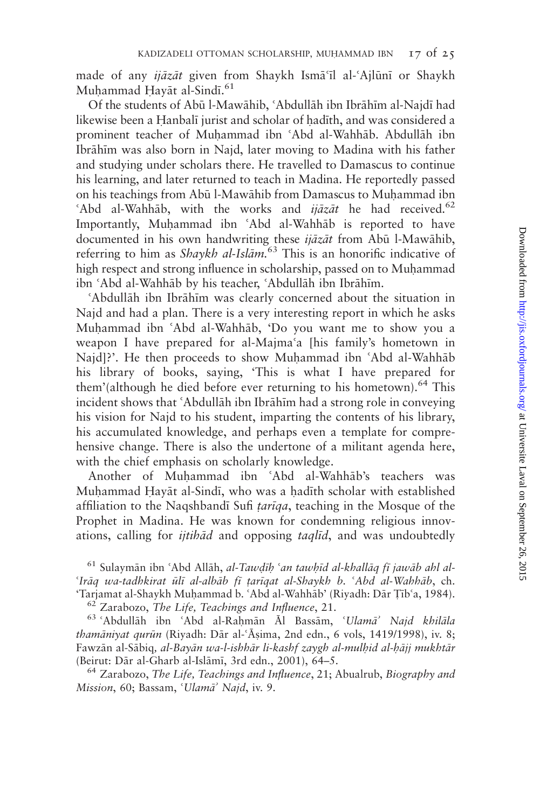made of any *ijāzāt* given from Shaykh Ismā<sup>c</sup>īl al-`Ajlūnī or Shaykh Muḥammad Ḥayāt al-Sindī.<sup>61</sup>

Of the students of Abū l-Mawāhib, 'Abdullāh ibn Ibrāhīm al-Najdī had likewise been a Hanbalī jurist and scholar of hadīth, and was considered a prominent teacher of Muhammad ibn 'Abd al-Wahhāb. Abdullāh ibn Ibrāhīm was also born in Najd, later moving to Madina with his father and studying under scholars there. He travelled to Damascus to continue his learning, and later returned to teach in Madina. He reportedly passed on his teachings from Abū l-Mawāhib from Damascus to Muḥammad ibn 'Abd al-Wahhāb, with the works and *ijāzāt* he had received.<sup>62</sup> Importantly, Muhammad ibn 'Abd al-Wahhab is reported to have documented in his own handwriting these *ijāzāt* from Abū l-Mawāhib, referring to him as *Shaykh al-Islām*.<sup>63</sup> This is an honorific indicative of high respect and strong influence in scholarship, passed on to Muhammad ibn 'Abd al-Wahhāb by his teacher, 'Abdullāh ibn Ibrāhīm.<br>'Abdullāh ibn Ibrāhīm was clearly concerned about the situation in

Najd and had a plan. There is a very interesting report in which he asks Muhammad ibn 'Abd al-Wahhāb, 'Do you want me to show you a weapon I have prepared for al-Majma'a [his family's hometown in Najd]?'. He then proceeds to show Muhammad ibn 'Abd al-Wahhab his library of books, saying, 'This is what I have prepared for them'(although he died before ever returning to his hometown).<sup>64</sup> This incident shows that 'Abdullah ibn Ibrahim had a strong role in conveying his vision for Najd to his student, imparting the contents of his library, his accumulated knowledge, and perhaps even a template for comprehensive change. There is also the undertone of a militant agenda here, with the chief emphasis on scholarly knowledge.

Another of Muhammad ibn 'Abd al-Wahhāb's teachers was Muhammad Hayāt al-Sindī, who was a hadīth scholar with established affiliation to the Naqshbandi Sufi *tariqa*, teaching in the Mosque of the Prophet in Madina. He was known for condemning religious innovations, calling for *ijtihad* and opposing *taglid*, and was undoubtedly

<sup>61</sup> Sulaymān ibn 'Abd Allāh, *al-Tawdīh 'an tawhīd al-khallāq fī jawāb ahl al-<br>'Irāq wa-tadhkirat ūlī al-albāb fī tarīgat al-Shaykh b. 'Abd al-Wahhāb, ch.* 'Tarjamat al-Shaykh Muḥammad b. 'Abd al-Wahhāb' (Riyadh: Dār Țīb'a, 1984).<br>
<sup>62</sup> Zarabozo, *The Life*, *Teachings and Influence*, 21.<br>
<sup>63</sup> 'Abdullāh ibn 'Abd al-Raḥmān Āl Bassām, 'Ul*amā' Najd khilāla* 

 $tham\bar{a}ni\gamma$ at qur $\bar{u}n$  (Riyadh: D $\bar{a}r$  al-' $\bar{A}sima$ , 2nd edn., 6 vols, 1419/1998), iv. 8; Fawzān al-Sābiq, *al-Bayān wa-l-ishhār li-kashf zaygh al-mulhid al-hājj mukhtār*<br>(Beirut: Dār al-Gharb al-Islāmī, 3rd edn., 2001), 64–5.

 $64$  Zarabozo, The Life, Teachings and Influence, 21; Abualrub, Biography and Mission, 60; Bassam, 'Ulamā' Najd, iv. 9.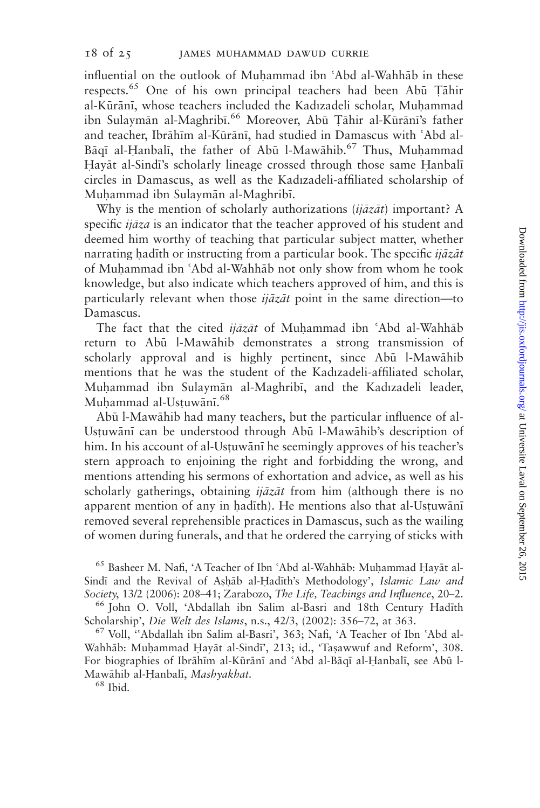influential on the outlook of Muhammad ibn 'Abd al-Wahhāb in these respects.<sup>65</sup> One of his own principal teachers had been Abū Tāhir al-Kūrānī, whose teachers included the Kadızadeli scholar, Muhammad ibn Sulaymān al-Maghribī.<sup>66</sup> Moreover, Abū Țāhir al-Kūrānī's father and teacher, Ibrāhīm al-Kūrānī, had studied in Damascus with 'Abd al-Bāqī al-Ḥanbalī, the father of Abū l-Mawāhib.<sup>67</sup> Thus, Muhammad Hayāt al-Sindī's scholarly lineage crossed through those same Hanbalī circles in Damascus, as well as the Kadızadeli-affiliated scholarship of Muhammad ibn Sulaymān al-Maghribī.

Why is the mention of scholarly authorizations ( $ij\bar{a}z\bar{a}t$ ) important? A specific  $ij\bar{a}za$  is an indicator that the teacher approved of his student and deemed him worthy of teaching that particular subject matter, whether narrating hadith or instructing from a particular book. The specific *ijāzāt* of Muhammad ibn 'Abd al-Wahhab not only show from whom he took knowledge, but also indicate which teachers approved of him, and this is particularly relevant when those  $ij\bar{a}z\bar{a}t$  point in the same direction—to Damascus.

The fact that the cited *ijāzāt* of Muhammad ibn 'Abd al-Wahhāb return to Abū l-Mawāhib demonstrates a strong transmission of scholarly approval and is highly pertinent, since Abū l-Mawāhib mentions that he was the student of the Kadızadeli-affiliated scholar, Muhammad ibn Sulaymān al-Maghribī, and the Kadızadeli leader, Muhammad al-Usțuwānī.<sup>68</sup>

Abū l-Mawāhib had many teachers, but the particular influence of al-Ustuwānī can be understood through Abū l-Mawāhib's description of him. In his account of al-Ustuwānī he seemingly approves of his teacher's stern approach to enjoining the right and forbidding the wrong, and mentions attending his sermons of exhortation and advice, as well as his scholarly gatherings, obtaining  $ij\bar{a}z\bar{a}t$  from him (although there is no apparent mention of any in hadith). He mentions also that al-Ustuwānī removed several reprehensible practices in Damascus, such as the wailing of women during funerals, and that he ordered the carrying of sticks with

<sup>65</sup> Basheer M. Nafi, 'A Teacher of Ibn 'Abd al-Wahhāb: Muhammad Hayāt al-Sindi and the Revival of Ashab al-Hadīth's Methodology', Islamic Law and Society, 13/2 (2006): 208–41; Zarabozo, The Life, Teachings and Influence, 20–2.<br><sup>66</sup> John O. Voll, 'Abdallah ibn Salim al-Basri and 18th Century Hadīth

Scholarship', *Die Welt des Islams*, n.s., 42/3, (2002): 356–72, at 363.<br><sup>67</sup> Voll, "Abdallah ibn Salim al-Basri', 363; Nafi, 'A Teacher of Ibn 'Abd al-Wahhāb: Muhammad Hayāt al-Sindī', 213; id., 'Taṣawwuf and Reform', 308. For biographies of Ibrāhīm al-Kūrānī and 'Abd al-Bāqī al-Ḥanbalī, see Abū l-Mawāhib al-Ḥanbalī, *Mashyakhat*. <sup>68</sup> Ibid.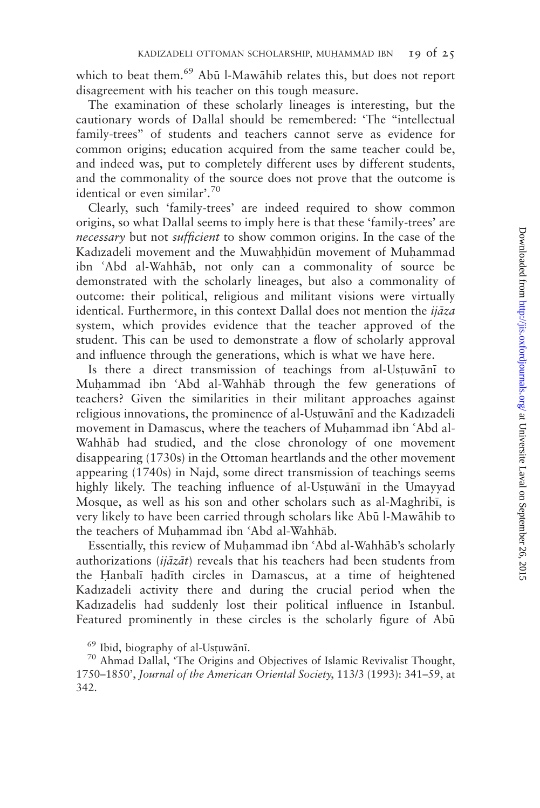which to beat them.<sup>69</sup> Abū l-Mawāhib relates this, but does not report disagreement with his teacher on this tough measure.

The examination of these scholarly lineages is interesting, but the cautionary words of Dallal should be remembered: 'The ''intellectual family-trees'' of students and teachers cannot serve as evidence for common origins; education acquired from the same teacher could be, and indeed was, put to completely different uses by different students, and the commonality of the source does not prove that the outcome is identical or even similar'.<sup>70</sup>

Clearly, such 'family-trees' are indeed required to show common origins, so what Dallal seems to imply here is that these 'family-trees' are necessary but not sufficient to show common origins. In the case of the Kadızadeli movement and the Muwahhidūn movement of Muhammad ibn 'Abd al-Wahhāb, not only can a commonality of source be demonstrated with the scholarly lineages, but also a commonality of outcome: their political, religious and militant visions were virtually identical. Furthermore, in this context Dallal does not mention the  $ij\bar{a}z\bar{a}$ system, which provides evidence that the teacher approved of the student. This can be used to demonstrate a flow of scholarly approval and influence through the generations, which is what we have here.

Is there a direct transmission of teachings from al-Ustuwani to Muhammad ibn 'Abd al-Wahhab through the few generations of teachers? Given the similarities in their militant approaches against religious innovations, the prominence of al-Ustuwānī and the Kadızadeli movement in Damascus, where the teachers of Muhammad ibn 'Abd al-Wahhab had studied, and the close chronology of one movement disappearing (1730s) in the Ottoman heartlands and the other movement appearing (1740s) in Najd, some direct transmission of teachings seems highly likely. The teaching influence of al-Ustuwānī in the Umayyad Mosque, as well as his son and other scholars such as al-Maghribi, is very likely to have been carried through scholars like Abū l-Mawāhib to the teachers of Muhammad ibn 'Abd al-Wahhāb.

Essentially, this review of Muhammad ibn 'Abd al-Wahhāb's scholarly authorizations ( $ij\bar{a}z\bar{a}t$ ) reveals that his teachers had been students from the Hanbali hadith circles in Damascus, at a time of heightened Kadızadeli activity there and during the crucial period when the Kadızadelis had suddenly lost their political influence in Istanbul. Featured prominently in these circles is the scholarly figure of Abū

 $^{69}$  Ibid, biography of al-Ustuwānī.<br><sup>70</sup> Ahmad Dallal, 'The Origins and Objectives of Islamic Revivalist Thought, 1750–1850', Journal of the American Oriental Society, 113/3 (1993): 341–59, at 342.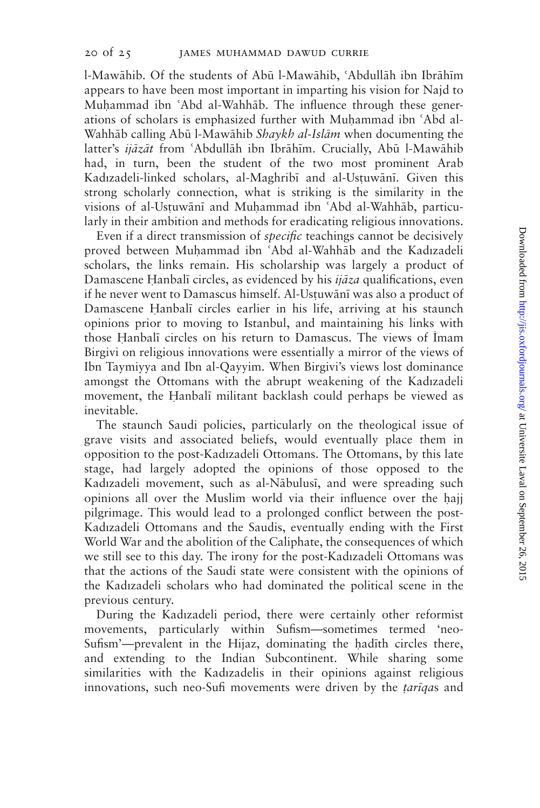l-Mawāhib. Of the students of Abū l-Mawāhib, 'Abdullāh ibn Ibrāhīm appears to have been most important in imparting his vision for Najd to Muhammad ibn 'Abd al-Wahhāb. The influence through these generations of scholars is emphasized further with Muhammad ibn 'Abd al-Wahhāb calling Abū l-Mawāhib Shaykh al-Islām when documenting the latter's *ijāzāt* from 'Abdullāh ibn Ibrāhīm. Crucially, Abū l-Mawāhib had, in turn, been the student of the two most prominent Arab Kadızadeli-linked scholars, al-Maghribī and al-Ustuwānī. Given this strong scholarly connection, what is striking is the similarity in the visions of al-Ustuwānī and Muḥammad ibn 'Abd al-Wahhāb, particularly in their ambition and methods for eradicating religious innovations.

Even if a direct transmission of specific teachings cannot be decisively proved between Muhammad ibn 'Abd al-Wahhāb and the Kadızadeli scholars, the links remain. His scholarship was largely a product of Damascene Hanbalī circles, as evidenced by his  $ij\bar{a}z\bar{a}$  qualifications, even if he never went to Damascus himself. Al-Ustuwānī was also a product of Damascene Hanbali circles earlier in his life, arriving at his staunch opinions prior to moving to Istanbul, and maintaining his links with those Hanbali circles on his return to Damascus. The views of İmam Birgivi on religious innovations were essentially a mirror of the views of Ibn Taymiyya and Ibn al-Qayyim. When Birgivi's views lost dominance amongst the Ottomans with the abrupt weakening of the Kadızadeli movement, the Hanbali militant backlash could perhaps be viewed as inevitable.

The staunch Saudi policies, particularly on the theological issue of grave visits and associated beliefs, would eventually place them in opposition to the post-Kadızadeli Ottomans. The Ottomans, by this late stage, had largely adopted the opinions of those opposed to the Kadızadeli movement, such as al-Nābulusī, and were spreading such opinions all over the Muslim world via their influence over the Aajj pilgrimage. This would lead to a prolonged conflict between the post-Kadızadeli Ottomans and the Saudis, eventually ending with the First World War and the abolition of the Caliphate, the consequences of which we still see to this day. The irony for the post-Kadızadeli Ottomans was that the actions of the Saudi state were consistent with the opinions of the Kadızadeli scholars who had dominated the political scene in the previous century.

During the Kadızadeli period, there were certainly other reformist movements, particularly within Sufism—sometimes termed 'neo-Sufism'-prevalent in the Hijaz, dominating the hadith circles there, and extending to the Indian Subcontinent. While sharing some similarities with the Kadızadelis in their opinions against religious innovations, such neo-Sufi movements were driven by the *tariqas* and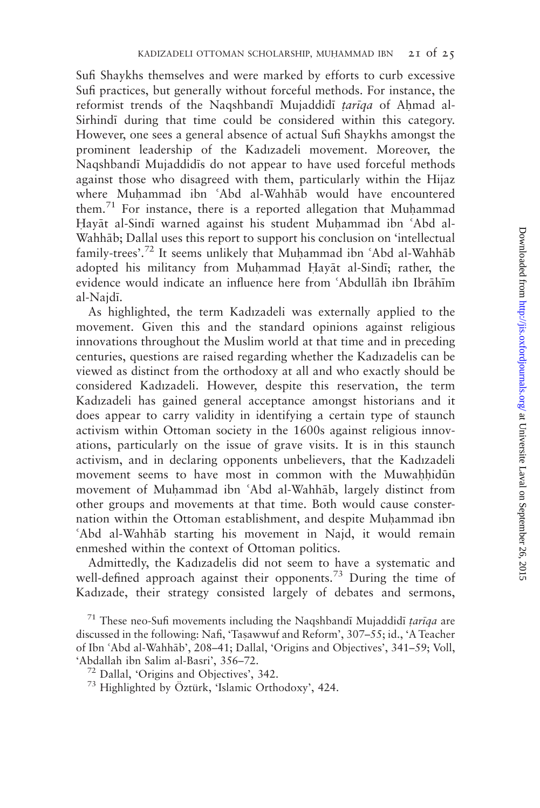Sufi Shaykhs themselves and were marked by efforts to curb excessive Sufi practices, but generally without forceful methods. For instance, the reformist trends of the Naqshbandī Mujaddidī tarīqa of Ahmad al-Sirhind; during that time could be considered within this category. However, one sees a general absence of actual Sufi Shaykhs amongst the prominent leadership of the Kadızadeli movement. Moreover, the Naqshband; Mujaddid;s do not appear to have used forceful methods against those who disagreed with them, particularly within the Hijaz where Muhammad ibn 'Abd al-Wahhab would have encountered them.<sup>71</sup> For instance, there is a reported allegation that Muhammad Hayāt al-Sindī warned against his student Muhammad ibn 'Abd al-Wahhāb: Dallal uses this report to support his conclusion on 'intellectual family-trees'.<sup>72</sup> It seems unlikely that Muhammad ibn 'Abd al-Wahhab adopted his militancy from Muhammad Hayat al-Sindi; rather, the evidence would indicate an influence here from 'Abdullāh ibn Ibrāhīm al-Najd;.

As highlighted, the term Kadızadeli was externally applied to the movement. Given this and the standard opinions against religious innovations throughout the Muslim world at that time and in preceding centuries, questions are raised regarding whether the Kadızadelis can be viewed as distinct from the orthodoxy at all and who exactly should be considered Kadızadeli. However, despite this reservation, the term Kadızadeli has gained general acceptance amongst historians and it does appear to carry validity in identifying a certain type of staunch activism within Ottoman society in the 1600s against religious innovations, particularly on the issue of grave visits. It is in this staunch activism, and in declaring opponents unbelievers, that the Kadızadeli movement seems to have most in common with the Muwahhidun movement of Muhammad ibn 'Abd al-Wahhāb, largely distinct from other groups and movements at that time. Both would cause consternation within the Ottoman establishment, and despite Muhammad ibn 'Abd al-Wahhāb starting his movement in Najd, it would remain enmeshed within the context of Ottoman politics.

Admittedly, the Kadızadelis did not seem to have a systematic and well-defined approach against their opponents.<sup>73</sup> During the time of Kadızade, their strategy consisted largely of debates and sermons,

<sup>&</sup>lt;sup>71</sup> These neo-Sufi movements including the Naqshbandi Mujaddidi *tariqa* are discussed in the following: Nafi, 'Tasawwuf and Reform', 307–55; id., 'A Teacher of Ibn 'Abd al-Wahhāb', 208-41; Dallal, 'Origins and Objectives', 341-59; Voll, 'Abdallah ibn Salim al-Basri', 356–72.<br><sup>72</sup> Dallal, 'Origins and Objectives', 342.<br><sup>73</sup> Highlighted by Öztürk, 'Islamic Orthodoxy', 424.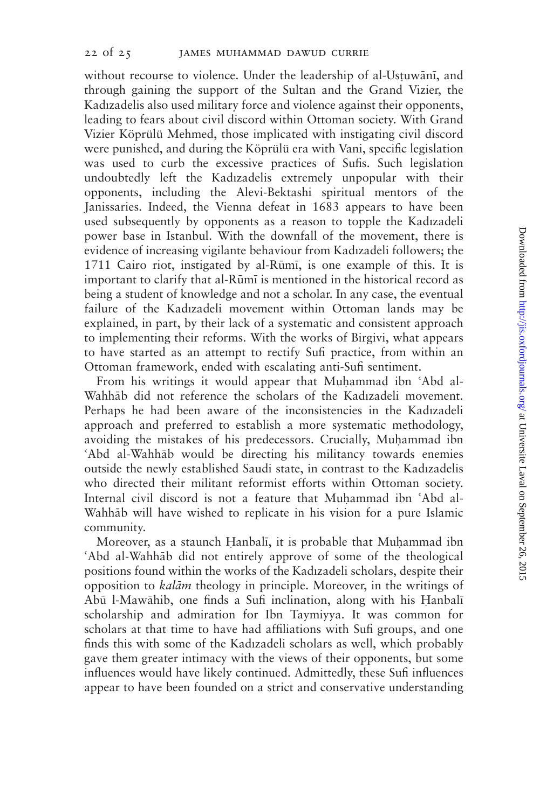without recourse to violence. Under the leadership of al-Ustuwānī, and through gaining the support of the Sultan and the Grand Vizier, the Kadızadelis also used military force and violence against their opponents, leading to fears about civil discord within Ottoman society. With Grand Vizier Köprülü Mehmed, those implicated with instigating civil discord were punished, and during the Köprülü era with Vani, specific legislation was used to curb the excessive practices of Sufis. Such legislation undoubtedly left the Kadızadelis extremely unpopular with their opponents, including the Alevi-Bektashi spiritual mentors of the Janissaries. Indeed, the Vienna defeat in 1683 appears to have been used subsequently by opponents as a reason to topple the Kadızadeli power base in Istanbul. With the downfall of the movement, there is evidence of increasing vigilante behaviour from Kadızadeli followers; the 1711 Cairo riot, instigated by al-Rūmī, is one example of this. It is important to clarify that al-Rūmī is mentioned in the historical record as being a student of knowledge and not a scholar. In any case, the eventual failure of the Kadızadeli movement within Ottoman lands may be explained, in part, by their lack of a systematic and consistent approach to implementing their reforms. With the works of Birgivi, what appears to have started as an attempt to rectify Sufi practice, from within an Ottoman framework, ended with escalating anti-Sufi sentiment.

From his writings it would appear that Muhammad ibn 'Abd al-Wahhāb did not reference the scholars of the Kadızadeli movement. Perhaps he had been aware of the inconsistencies in the Kadızadeli approach and preferred to establish a more systematic methodology, avoiding the mistakes of his predecessors. Crucially, Muhammad ibn 'Abd al-Wahhāb would be directing his militancy towards enemies outside the newly established Saudi state, in contrast to the Kadızadelis who directed their militant reformist efforts within Ottoman society. Internal civil discord is not a feature that Muhammad ibn 'Abd al-Wahhab will have wished to replicate in his vision for a pure Islamic community.

Moreover, as a staunch Hanbalī, it is probable that Muḥammad ibn 'Abd al-Wahhāb did not entirely approve of some of the theological positions found within the works of the Kadızadeli scholars, despite their opposition to *kalām* theology in principle. Moreover, in the writings of Abū l-Mawāhib, one finds a Sufi inclination, along with his Hanbalī scholarship and admiration for Ibn Taymiyya. It was common for scholars at that time to have had affiliations with Sufi groups, and one finds this with some of the Kadızadeli scholars as well, which probably gave them greater intimacy with the views of their opponents, but some influences would have likely continued. Admittedly, these Sufi influences appear to have been founded on a strict and conservative understanding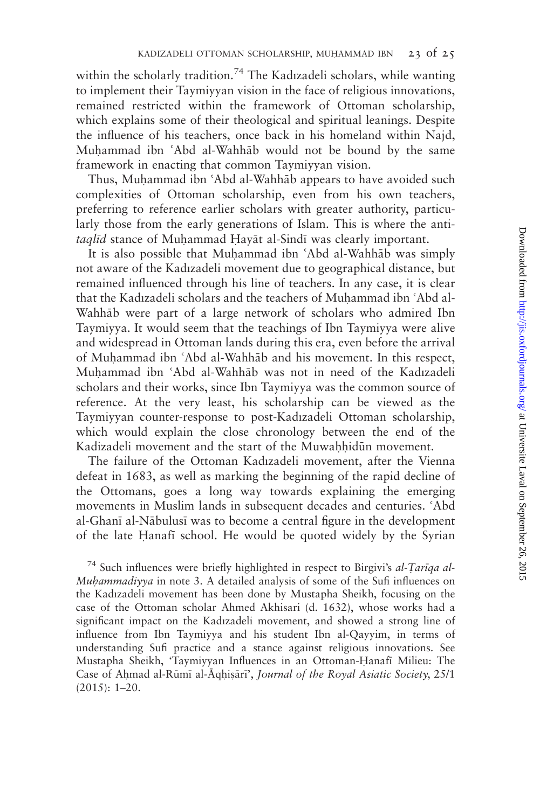within the scholarly tradition.<sup>74</sup> The Kadızadeli scholars, while wanting to implement their Taymiyyan vision in the face of religious innovations, remained restricted within the framework of Ottoman scholarship, which explains some of their theological and spiritual leanings. Despite the influence of his teachers, once back in his homeland within Najd, Muhammad ibn 'Abd al-Wahhab would not be bound by the same framework in enacting that common Taymiyyan vision.

Thus, Muhammad ibn 'Abd al-Wahhāb appears to have avoided such complexities of Ottoman scholarship, even from his own teachers, preferring to reference earlier scholars with greater authority, particularly those from the early generations of Islam. This is where the antitaglid stance of Muhammad Hayāt al-Sindī was clearly important.

It is also possible that Muhammad ibn 'Abd al-Wahhāb was simply not aware of the Kadızadeli movement due to geographical distance, but remained influenced through his line of teachers. In any case, it is clear that the Kadızadeli scholars and the teachers of Muhammad ibn 'Abd al-Wahhab were part of a large network of scholars who admired Ibn Taymiyya. It would seem that the teachings of Ibn Taymiyya were alive and widespread in Ottoman lands during this era, even before the arrival of Muhammad ibn 'Abd al-Wahhab and his movement. In this respect, Muhammad ibn 'Abd al-Wahhāb was not in need of the Kadızadeli scholars and their works, since Ibn Taymiyya was the common source of reference. At the very least, his scholarship can be viewed as the Taymiyyan counter-response to post-Kadızadeli Ottoman scholarship, which would explain the close chronology between the end of the Kadizadeli movement and the start of the Muwahhidūn movement.

The failure of the Ottoman Kadızadeli movement, after the Vienna defeat in 1683, as well as marking the beginning of the rapid decline of the Ottomans, goes a long way towards explaining the emerging movements in Muslim lands in subsequent decades and centuries. 'Abd al-Ghani al-Nābulusi was to become a central figure in the development of the late Eanaf; school. He would be quoted widely by the Syrian

 $^{74}$  Such influences were briefly highlighted in respect to Birgivi's al-Tariqa al-Muhammadiyya in note 3. A detailed analysis of some of the Sufi influences on the Kadızadeli movement has been done by Mustapha Sheikh, focusing on the case of the Ottoman scholar Ahmed Akhisari (d. 1632), whose works had a significant impact on the Kadızadeli movement, and showed a strong line of influence from Ibn Taymiyya and his student Ibn al-Qayyim, in terms of understanding Sufi practice and a stance against religious innovations. See Mustapha Sheikh, 'Taymiyyan Influences in an Ottoman-Eanaf; Milieu: The Case of Ahmad al-Rūmī al-Āqhiṣārī', Journal of the Royal Asiatic Society, 25/1 (2015): 1–20.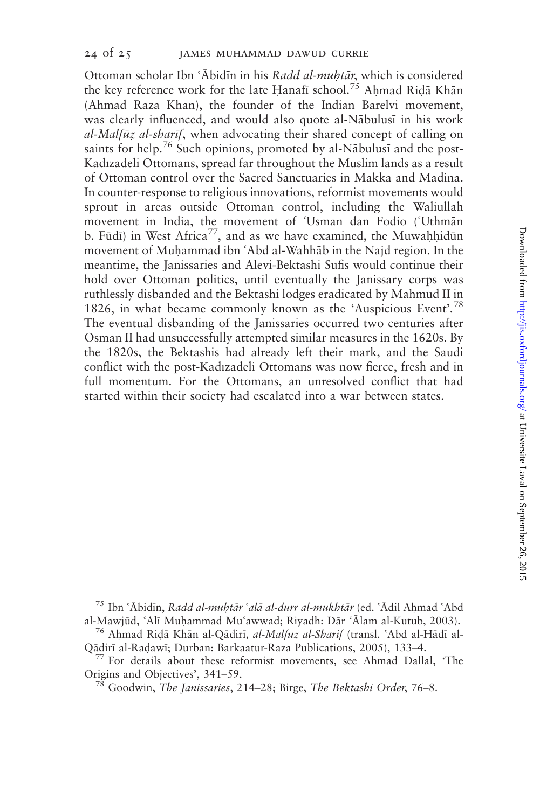Ottoman scholar Ibn 'Ābidīn in his Radd al-muhtār, which is considered the key reference work for the late Hanafi school.<sup>75</sup> Ahmad Ridā Khān (Ahmad Raza Khan), the founder of the Indian Barelvi movement, was clearly influenced, and would also quote al-Nābulusī in his work  $al-Malf\bar{u}z$  al-sharif, when advocating their shared concept of calling on saints for help.<sup>76</sup> Such opinions, promoted by al-N $\bar{a}$ bulusi and the post-Kadızadeli Ottomans, spread far throughout the Muslim lands as a result of Ottoman control over the Sacred Sanctuaries in Makka and Madina. In counter-response to religious innovations, reformist movements would sprout in areas outside Ottoman control, including the Waliullah movement in India, the movement of 'Usman dan Fodio ('Uthmān b. Fūdī) in West Africa<sup>77</sup>, and as we have examined, the Muwahhidūn movement of Muhammad ibn 'Abd al-Wahhāb in the Najd region. In the meantime, the Janissaries and Alevi-Bektashi Sufis would continue their hold over Ottoman politics, until eventually the Janissary corps was ruthlessly disbanded and the Bektashi lodges eradicated by Mahmud II in 1826, in what became commonly known as the 'Auspicious Event'. 78 The eventual disbanding of the Janissaries occurred two centuries after Osman II had unsuccessfully attempted similar measures in the 1620s. By the 1820s, the Bektashis had already left their mark, and the Saudi conflict with the post-Kadızadeli Ottomans was now fierce, fresh and in full momentum. For the Ottomans, an unresolved conflict that had started within their society had escalated into a war between states.

<sup>75</sup> Ibn 'Ābidīn, Radd al-muhtār 'alā al-durr al-mukhtār (ed. 'Ādil Ahmad 'Abd

al-Mawjūd, ʿAlī Muḥammad Muʿawwad; Riyadh: Dār ʿĀlam al-Kutub, 2003).<br><sup>76</sup> Aḥmad Riḍā Khān al-Qādirī, *al-Malfuz al-Sharif* (transl. ʿAbd al-Hādī al-Qādirī al-Radawī; Durban: Barkaatur-Raza Publications, 2005), 133–4.

 $^{77}$  For details about these reformist movements, see Ahmad Dallal, 'The Origins and Objectives', 341–59.<br><sup>78</sup> Goodwin, *The Janissaries*, 214–28; Birge, *The Bektashi Order*, 76–8.